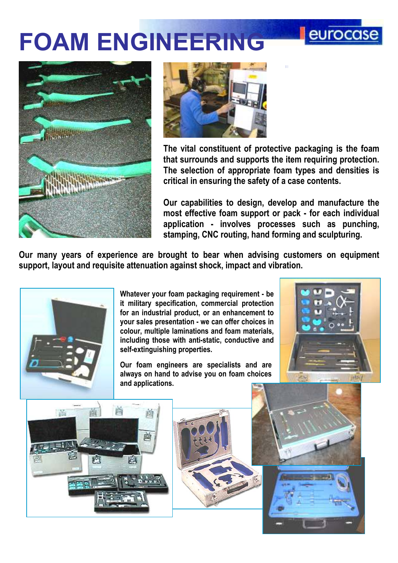## FOAM ENGINEERING





The vital constituent of protective packaging is the foam that surrounds and supports the item requiring protection. The selection of appropriate foam types and densities is critical in ensuring the safety of a case contents.

Our capabilities to design, develop and manufacture the most effective foam support or pack - for each individual application - involves processes such as punching, stamping, CNC routing, hand forming and sculpturing.

Our many years of experience are brought to bear when advising customers on equipment support, layout and requisite attenuation against shock, impact and vibration.



Whatever your foam packaging requirement - be it military specification, commercial protection for an industrial product, or an enhancement to your sales presentation - we can offer choices in colour, multiple laminations and foam materials, including those with anti-static, conductive and self-extinguishing properties.

Our foam engineers are specialists and are always on hand to advise you on foam choices and applications.



eurocase